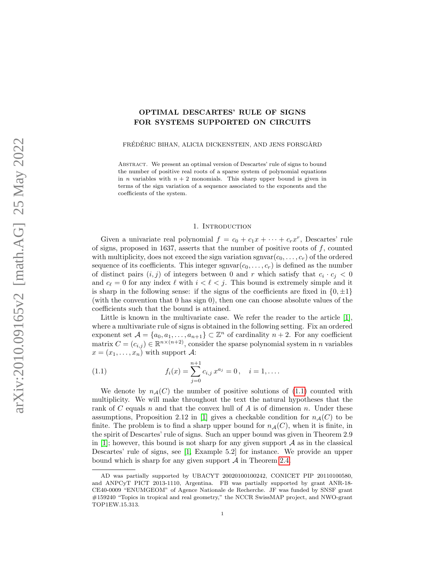# OPTIMAL DESCARTES' RULE OF SIGNS FOR SYSTEMS SUPPORTED ON CIRCUITS

FRÉDÉRIC BIHAN, ALICIA DICKENSTEIN, AND JENS FORSGÅRD

ABSTRACT. We present an optimal version of Descartes' rule of signs to bound the number of positive real roots of a sparse system of polynomial equations in *n* variables with  $n + 2$  monomials. This sharp upper bound is given in terms of the sign variation of a sequence associated to the exponents and the coefficients of the system.

## 1. INTRODUCTION

Given a univariate real polynomial  $f = c_0 + c_1 x + \cdots + c_r x^r$ , Descartes' rule of signs, proposed in 1637, asserts that the number of positive roots of  $f$ , counted with multiplicity, does not exceed the sign variation sgnvar $(c_0, \ldots, c_r)$  of the ordered sequence of its coefficients. This integer  $\text{sgnvar}(c_0, \ldots, c_r)$  is defined as the number of distinct pairs  $(i, j)$  of integers between 0 and r which satisfy that  $c_i \cdot c_j < 0$ and  $c_{\ell} = 0$  for any index  $\ell$  with  $i < \ell < j$ . This bound is extremely simple and it is sharp in the following sense: if the signs of the coefficients are fixed in  $\{0, \pm 1\}$ (with the convention that 0 has sign 0), then one can choose absolute values of the coefficients such that the bound is attained.

Little is known in the multivariate case. We refer the reader to the article  $[1]$ , where a multivariate rule of signs is obtained in the following setting. Fix an ordered exponent set  $\mathcal{A} = \{a_0, a_1, \ldots, a_{n+1}\} \subset \mathbb{Z}^n$  of cardinality  $n+2$ . For any coefficient matrix  $C = (c_{i,j}) \in \mathbb{R}^{n \times (n+2)}$ , consider the sparse polynomial system in n variables  $x = (x_1, \ldots, x_n)$  with support A:

<span id="page-0-0"></span>(1.1) 
$$
f_i(x) = \sum_{j=0}^{n+1} c_{i,j} x^{a_j} = 0, \quad i = 1, \dots.
$$

We denote by  $n_A(C)$  the number of positive solutions of [\(1.1\)](#page-0-0) counted with multiplicity. We will make throughout the text the natural hypotheses that the rank of C equals n and that the convex hull of A is of dimension n. Under these assumptions, Proposition 2.12 in [\[1\]](#page-20-0) gives a checkable condition for  $n_{\mathcal{A}}(C)$  to be finite. The problem is to find a sharp upper bound for  $n_{\mathcal{A}}(C)$ , when it is finite, in the spirit of Descartes' rule of signs. Such an upper bound was given in Theorem 2.9 in [\[1\]](#page-20-0); however, this bound is not sharp for any given support  $A$  as in the classical Descartes' rule of signs, see [\[1,](#page-20-0) Example 5.2] for instance. We provide an upper bound which is sharp for any given support  $A$  in Theorem [2.4.](#page-6-0)

AD was partially supported by UBACYT 20020100100242, CONICET PIP 20110100580, and ANPCyT PICT 2013-1110, Argentina. FB was partially supported by grant ANR-18- CE40-0009 "ENUMGEOM" of Agence Nationale de Recherche. JF was funded by SNSF grant #159240 "Topics in tropical and real geometry," the NCCR SwissMAP project, and NWO-grant TOP1EW.15.313.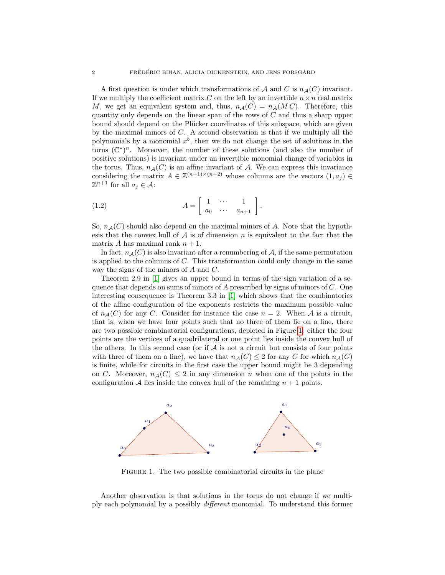A first question is under which transformations of  $A$  and  $C$  is  $n_A(C)$  invariant. If we multiply the coefficient matrix C on the left by an invertible  $n \times n$  real matrix M, we get an equivalent system and, thus,  $n_A(C) = n_A(M C)$ . Therefore, this quantity only depends on the linear span of the rows of C and thus a sharp upper bound should depend on the Plücker coordinates of this subspace, which are given by the maximal minors of C. A second observation is that if we multiply all the polynomials by a monomial  $x^b$ , then we do not change the set of solutions in the torus  $(\mathbb{C}^*)^n$ . Moreover, the number of these solutions (and also the number of positive solutions) is invariant under an invertible monomial change of variables in the torus. Thus,  $n_{\mathcal{A}}(C)$  is an affine invariant of A. We can express this invariance considering the matrix  $A \in \mathbb{Z}^{(n+1)\times(n+2)}$  whose columns are the vectors  $(1, a_j) \in$  $\mathbb{Z}^{n+1}$  for all  $a_j \in \mathcal{A}$ :

<span id="page-1-0"></span>(1.2) 
$$
A = \begin{bmatrix} 1 & \cdots & 1 \\ a_0 & \cdots & a_{n+1} \end{bmatrix}.
$$

So,  $n_{\mathcal{A}}(C)$  should also depend on the maximal minors of A. Note that the hypothesis that the convex hull of  $A$  is of dimension n is equivalent to the fact that the matrix A has maximal rank  $n + 1$ .

In fact,  $n_A(C)$  is also invariant after a renumbering of A, if the same permutation is applied to the columns of  $C$ . This transformation could only change in the same way the signs of the minors of A and C.

Theorem 2.9 in [\[1\]](#page-20-0) gives an upper bound in terms of the sign variation of a sequence that depends on sums of minors of  $A$  prescribed by signs of minors of  $C$ . One interesting consequence is Theorem 3.3 in [\[1\]](#page-20-0) which shows that the combinatorics of the affine configuration of the exponents restricts the maximum possible value of  $n_A(C)$  for any C. Consider for instance the case  $n = 2$ . When A is a circuit, that is, when we have four points such that no three of them lie on a line, there are two possible combinatorial configurations, depicted in Figure [1:](#page-1-0) either the four points are the vertices of a quadrilateral or one point lies inside the convex hull of the others. In this second case (or if  $A$  is not a circuit but consists of four points with three of them on a line), we have that  $n_{\mathcal{A}}(C) \leq 2$  for any C for which  $n_{\mathcal{A}}(C)$ is finite, while for circuits in the first case the upper bound might be 3 depending on C. Moreover,  $n_{\mathcal{A}}(C) \leq 2$  in any dimension n when one of the points in the configuration A lies inside the convex hull of the remaining  $n + 1$  points.



FIGURE 1. The two possible combinatorial circuits in the plane

Another observation is that solutions in the torus do not change if we multiply each polynomial by a possibly different monomial. To understand this former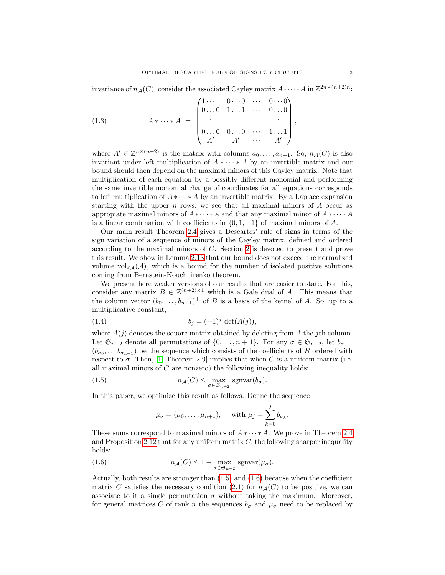invariance of  $n_{\mathcal{A}}(C)$ , consider the associated Cayley matrix  $A * \cdots * A$  in  $\mathbb{Z}^{2n \times (n+2)n}$ :

(1.3) 
$$
A * \cdots * A = \begin{pmatrix} 1 \cdots 1 & 0 \cdots 0 & \cdots & 0 \cdots 0 \\ 0 \ldots 0 & 1 \ldots 1 & \cdots & 0 \ldots 0 \\ \vdots & \vdots & \vdots & \vdots \\ 0 \ldots 0 & 0 \ldots 0 & \cdots & 1 \ldots 1 \\ A' & A' & \cdots & A' \end{pmatrix},
$$

where  $A' \in \mathbb{Z}^{n \times (n+2)}$  is the matrix with columns  $a_0, \ldots, a_{n+1}$ . So,  $n_{\mathcal{A}}(C)$  is also invariant under left multiplication of  $A * \cdots * A$  by an invertible matrix and our bound should then depend on the maximal minors of this Cayley matrix. Note that multiplication of each equation by a possibly different monomial and performing the same invertible monomial change of coordinates for all equations corresponds to left multiplication of  $A * \cdots * A$  by an invertible matrix. By a Laplace expansion starting with the upper  $n$  rows, we see that all maximal minors of  $A$  occur as appropiate maximal minors of  $A * \cdots * A$  and that any maximal minor of  $A * \cdots * A$ is a linear combination with coefficients in  $\{0, 1, -1\}$  of maximal minors of A.

Our main result Theorem [2.4](#page-6-0) gives a Descartes' rule of signs in terms of the sign variation of a sequence of minors of the Cayley matrix, defined and ordered according to the maximal minors of C. Section [2](#page-4-0) is devoted to present and prove this result. We show in Lemma [2.13](#page-11-0) that our bound does not exceed the normalized volume vol $\mathbb{Z}_4(\mathcal{A})$ , which is a bound for the number of isolated positive solutions coming from Bernstein-Kouchnirenko theorem.

We present here weaker versions of our results that are easier to state. For this, consider any matrix  $B \in \mathbb{Z}^{(n+2)\times 1}$  which is a Gale dual of A. This means that the column vector  $(b_0, \ldots, b_{n+1})^{\top}$  of B is a basis of the kernel of A. So, up to a multiplicative constant,

(1.4) 
$$
b_j = (-1)^j \det(A(j)),
$$

where  $A(j)$  denotes the square matrix obtained by deleting from A the jth column. Let  $\mathfrak{S}_{n+2}$  denote all permutations of  $\{0,\ldots,n+1\}$ . For any  $\sigma \in \mathfrak{S}_{n+2}$ , let  $b_{\sigma} =$  $(b_{\sigma_0}, \ldots, b_{\sigma_{n+1}})$  be the sequence which consists of the coefficients of B ordered with respect to  $\sigma$ . Then, [\[1,](#page-20-0) Theorem 2.9] implies that when C is a uniform matrix (i.e. all maximal minors of  $C$  are nonzero) the following inequality holds:

(1.5) 
$$
n_{\mathcal{A}}(C) \leq \max_{\sigma \in \mathfrak{S}_{n+2}} \text{sgnvar}(b_{\sigma}).
$$

In this paper, we optimize this result as follows. Define the sequence

<span id="page-2-2"></span><span id="page-2-1"></span><span id="page-2-0"></span>
$$
\mu_{\sigma} = (\mu_0, ..., \mu_{n+1}),
$$
 with  $\mu_j = \sum_{k=0}^j b_{\sigma_k}.$ 

These sums correspond to maximal minors of  $A * \cdots * A$ . We prove in Theorem [2.4](#page-6-0) and Proposition [2.12](#page-10-0) that for any uniform matrix  $C$ , the following sharper inequality holds:

(1.6) 
$$
n_{\mathcal{A}}(C) \leq 1 + \max_{\sigma \in \mathfrak{S}_{n+2}} \text{sgnvar}(\mu_{\sigma}).
$$

Actually, both results are stronger than [\(1.5\)](#page-2-0) and [\(1.6\)](#page-2-1) because when the coefficient matrix C satisfies the necessary condition [\(2.1\)](#page-4-1) for  $n_{\mathcal{A}}(C)$  to be positive, we can associate to it a single permutation  $\sigma$  without taking the maximum. Moreover, for general matrices C of rank n the sequences  $b_{\sigma}$  and  $\mu_{\sigma}$  need to be replaced by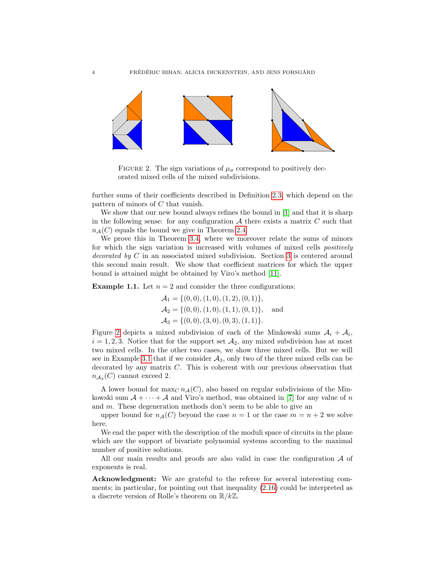

<span id="page-3-0"></span>FIGURE 2. The sign variations of  $\mu_{\sigma}$  correspond to positively decorated mixed cells of the mixed subdivisions.

further sums of their coefficients described in Definition [2.3,](#page-5-0) which depend on the pattern of minors of C that vanish.

We show that our new bound always refines the bound in [\[1\]](#page-20-0) and that it is sharp in the following sense: for any configuration  $A$  there exists a matrix  $C$  such that  $n_A(C)$  equals the bound we give in Theorem [2.4.](#page-6-0)

We prove this in Theorem [3.4,](#page-14-0) where we moreover relate the sums of minors for which the sign variation is increased with volumes of mixed cells positively decorated by C in an associated mixed subdivision. Section [3](#page-12-0) is centered around this second main result. We show that coefficient matrices for which the upper bound is attained might be obtained by Viro's method [\[11\]](#page-20-1).

<span id="page-3-1"></span>**Example 1.1.** Let  $n = 2$  and consider the three configurations:

$$
\mathcal{A}_1 = \{ (0,0), (1,0), (1,2), (0,1) \},
$$
  
\n
$$
\mathcal{A}_2 = \{ (0,0), (1,0), (1,1), (0,1) \},
$$
 and  
\n
$$
\mathcal{A}_3 = \{ (0,0), (3,0), (0,3), (1,1) \}.
$$

Figure [2](#page-3-0) depicts a mixed subdivision of each of the Minkowski sums  $A_i + A_i$ ,  $i = 1, 2, 3$ . Notice that for the support set  $\mathcal{A}_2$ , any mixed subdivision has at most two mixed cells. In the other two cases, we show three mixed cells. But we will see in Example [3.1](#page-12-1) that if we consider  $A_3$ , only two of the three mixed cells can be decorated by any matrix  $C$ . This is coherent with our previous observation that  $n_{A_3}(C)$  cannot exceed 2.

A lower bound for  $\max_C n_{\mathcal{A}}(C)$ , also based on regular subdivisions of the Minkowski sum  $A + \cdots + A$  and Viro's method, was obtained in [\[7\]](#page-20-2) for any value of n and m. These degeneration methods don't seem to be able to give an

upper bound for  $n_{\mathcal{A}}(C)$  beyond the case  $n = 1$  or the case  $m = n + 2$  we solve here.

We end the paper with the description of the moduli space of circuits in the plane which are the support of bivariate polynomial systems according to the maximal number of positive solutions.

All our main results and proofs are also valid in case the configuration  $A$  of exponents is real.

Acknowledgment: We are grateful to the referee for several interesting comments; in particular, for pointing out that inequality [\(2.16\)](#page-10-1) could be interpreted as a discrete version of Rolle's theorem on  $\mathbb{R}/k\mathbb{Z}$ .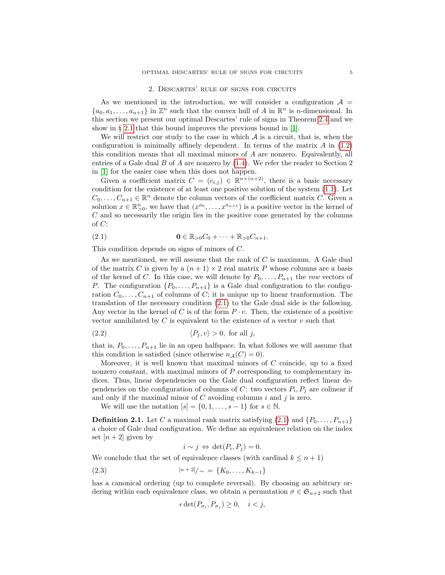### 2. Descartes' rule of signs for circuits

<span id="page-4-0"></span>As we mentioned in the introduction, we will consider a configuration  $A =$  $\{a_0, a_1, \ldots, a_{n+1}\}\$  in  $\mathbb{Z}^n$  such that the convex hull of A in  $\mathbb{R}^n$  is *n*-dimensional. In this section we present our optimal Descartes' rule of signs in Theorem [2.4](#page-6-0) and we show in § [2.1](#page-9-0) that this bound improves the previous bound in [\[1\]](#page-20-0).

We will restrict our study to the case in which  $A$  is a circuit, that is, when the configuration is minimally affinely dependent. In terms of the matrix  $A$  in  $(1.2)$ this condition means that all maximal minors of A are nonzero. Equivalently, all entries of a Gale dual  $B$  of  $A$  are nonzero by  $(1.4)$ . We refer the reader to Section 2 in [\[1\]](#page-20-0) for the easier case when this does not happen.

Given a coefficient matrix  $C = (c_{i,j}) \in \mathbb{R}^{n \times (n+2)}$ , there is a basic necessary condition for the existence of at least one positive solution of the system [\(1.1\)](#page-0-0). Let  $C_0, \ldots, C_{n+1} \in \mathbb{R}^n$  denote the column vectors of the coefficient matrix C. Given a solution  $x \in \mathbb{R}_{>0}^n$ , we have that  $(x^{a_0}, \ldots, x^{a_{n+1}})$  is a positive vector in the kernel of  $C$  and so necessarily the origin lies in the positive cone generated by the columns of  $C$ :

<span id="page-4-1"></span>(2.1) 
$$
\mathbf{0} \in \mathbb{R}_{>0} C_0 + \cdots + \mathbb{R}_{>0} C_{n+1}.
$$

This condition depends on signs of minors of C.

As we mentioned, we will assume that the rank of  $C$  is maximum. A Gale dual of the matrix C is given by a  $(n + 1) \times 2$  real matrix P whose columns are a basis of the kernel of C. In this case, we will denote by  $P_0, \ldots, P_{n+1}$  the row vectors of P. The configuration  $\{P_0, \ldots, P_{n+1}\}\$ is a Gale dual configuration to the configuration  $C_0, \ldots, C_{n+1}$  of columns of C; it is unique up to linear tranformation. The translation of the necessary condition [\(2.1\)](#page-4-1) to the Gale dual side is the following. Any vector in the kernel of C is of the form  $P \cdot v$ . Then, the existence of a positive vector annihilated by  $C$  is equivalent to the existence of a vector  $v$  such that

<span id="page-4-3"></span>
$$
(2.2) \t\t \langle P_j, v \rangle > 0, \text{ for all } j,
$$

that is,  $P_0, \ldots, P_{n+1}$  lie in an open halfspace. In what follows we will assume that this condition is satisfied (since otherwise  $n_{\mathcal{A}}(C) = 0$ ).

Moreover, it is well known that maximal minors of  $C$  coincide, up to a fixed nonzero constant, with maximal minors of P corresponding to complementary indices. Thus, linear dependencies on the Gale dual configuration reflect linear dependencies on the configuration of columns of C: two vectors  $P_i, P_j$  are colinear if and only if the maximal minor of  $C$  avoiding columns i and j is zero.

We will use the notation  $[s] = \{0, 1, \ldots, s-1\}$  for  $s \in \mathbb{N}$ .

<span id="page-4-2"></span>**Definition 2.1.** Let C a maximal rank matrix satisfying  $(2.1)$  and  $\{P_0, \ldots, P_{n+1}\}\$ a choice of Gale dual configuration. We define an equivalence relation on the index set  $[n+2]$  given by

<span id="page-4-4"></span>
$$
i \sim j \Leftrightarrow \det(P_i, P_j) = 0.
$$

We conclude that the set of equivalence classes (with cardinal  $k \leq n+1$ )

(2.3) 
$$
[n+2]/\sim \quad \{K_0,\ldots,K_{k-1}\}
$$

has a canonical ordering (up to complete reversal). By choosing an arbitrary ordering within each equivalence class, we obtain a permutation  $\sigma \in \mathfrak{S}_{n+2}$  such that

$$
\epsilon \det(P_{\sigma_i}, P_{\sigma_j}) \ge 0, \quad i < j,
$$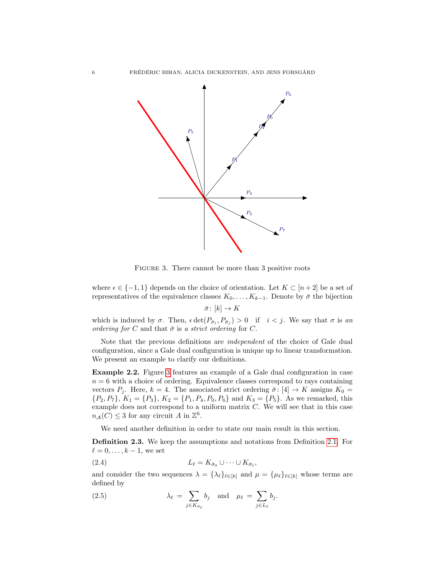

<span id="page-5-1"></span>Figure 3. There cannot be more than 3 positive roots

where  $\epsilon \in \{-1,1\}$  depends on the choice of orientation. Let  $K \subset [n+2]$  be a set of representatives of the equivalence classes  $K_0, \ldots, K_{k-1}$ . Denote by  $\bar{\sigma}$  the bijection  $\bar{\sigma} \colon [k] \to K$ 

which is induced by  $\sigma$ . Then,  $\epsilon \det(P_{\bar{\sigma}_i}, P_{\bar{\sigma}_j}) > 0$  if  $i < j$ . We say that  $\sigma$  is an ordering for C and that  $\bar{\sigma}$  is a strict ordering for C.

Note that the previous definitions are independent of the choice of Gale dual configuration, since a Gale dual configuration is unique up to linear transformation. We present an example to clarify our definitions.

Example 2.2. Figure [3](#page-5-1) features an example of a Gale dual configuration in case  $n = 6$  with a choice of ordering. Equivalence classes correspond to rays containing vectors  $P_j$ . Here,  $k = 4$ . The associated strict ordering  $\bar{\sigma}$ : [4]  $\rightarrow K$  assigns  $K_0 =$  $\{P_2, P_7\}, K_1 = \{P_3\}, K_2 = \{P_1, P_4, P_0, P_6\}$  and  $K_3 = \{P_5\}.$  As we remarked, this example does not correspond to a uniform matrix  $C$ . We will see that in this case  $n_{\mathcal{A}}(C) \leq 3$  for any circuit A in  $\mathbb{Z}^6$ .

We need another definition in order to state our main result in this section.

<span id="page-5-0"></span>Definition 2.3. We keep the assumptions and notations from Definition [2.1.](#page-4-2) For  $\ell = 0, \ldots, k - 1$ , we set

$$
(2.4) \t\t\t L_{\ell} = K_{\bar{\sigma}_0} \cup \cdots \cup K_{\bar{\sigma}_{\ell}},
$$

and consider the two sequences  $\lambda = {\lambda_{\ell}}_{\ell \in [k]}$  and  $\mu = {\mu_{\ell}}_{\ell \in [k]}$  whose terms are defined by

<span id="page-5-2"></span>(2.5) 
$$
\lambda_{\ell} = \sum_{j \in K_{\bar{\sigma}_{\ell}}} b_j \quad \text{and} \quad \mu_{\ell} = \sum_{j \in L_{\ell}} b_j.
$$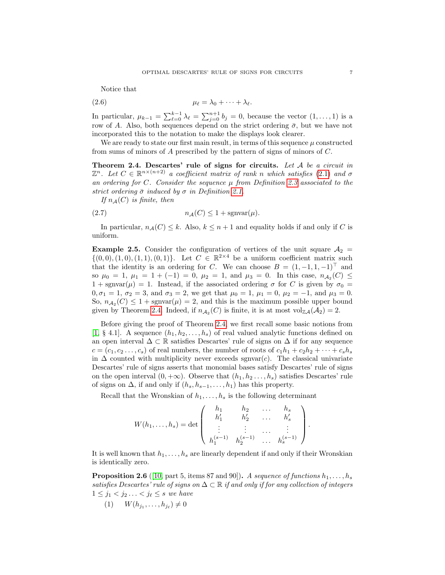<span id="page-6-5"></span>Notice that

$$
\mu_{\ell} = \lambda_0 + \cdots + \lambda_{\ell}.
$$

In particular,  $\mu_{k-1} = \sum_{\ell=0}^{k-1} \lambda_{\ell} = \sum_{j=0}^{n+1} b_j = 0$ , because the vector  $(1, \ldots, 1)$  is a row of A. Also, both sequences depend on the strict ordering  $\bar{\sigma}$ , but we have not incorporated this to the notation to make the displays look clearer.

We are ready to state our first main result, in terms of this sequence  $\mu$  constructed from sums of minors of A prescribed by the pattern of signs of minors of C.

<span id="page-6-0"></span>Theorem 2.4. Descartes' rule of signs for circuits. Let  $A$  be a circuit in  $\mathbb{Z}^n$ . Let  $C \in \mathbb{R}^{n \times (n+2)}$  a coefficient matrix of rank n which satisfies [\(2.1\)](#page-4-1) and  $\sigma$ an ordering for C. Consider the sequence  $\mu$  from Definition [2.3](#page-5-0) associated to the strict ordering  $\bar{\sigma}$  induced by  $\sigma$  in Definition [2.1.](#page-4-2)

<span id="page-6-4"></span>If  $n_{\mathcal{A}}(C)$  is finite, then

$$
(2.7) \t\t n\mathcal{A}(C) \leq 1 + \text{sgnvar}(\mu).
$$

In particular,  $n_{\mathcal{A}}(C) \leq k$ . Also,  $k \leq n+1$  and equality holds if and only if C is uniform.

<span id="page-6-3"></span>**Example 2.5.** Consider the configuration of vertices of the unit square  $A_2 =$  $\{(0,0), (1,0), (1,1), (0,1)\}.$  Let  $C \in \mathbb{R}^{2 \times 4}$  be a uniform coefficient matrix such that the identity is an ordering for C. We can choose  $B = (1, -1, 1, -1)^\top$  and so  $\mu_0 = 1$ ,  $\mu_1 = 1 + (-1) = 0$ ,  $\mu_2 = 1$ , and  $\mu_3 = 0$ . In this case,  $n_{\mathcal{A}_2}(C) \leq$  $1 + \text{sgnvar}(\mu) = 1$ . Instead, if the associated ordering  $\sigma$  for C is given by  $\sigma_0 =$  $0, \sigma_1 = 1, \sigma_2 = 3$ , and  $\sigma_3 = 2$ , we get that  $\mu_0 = 1, \mu_1 = 0, \mu_2 = -1$ , and  $\mu_3 = 0$ . So,  $n_{A_2}(C) \leq 1 + \text{sgnvar}(\mu) = 2$ , and this is the maximum possible upper bound given by Theorem [2.4.](#page-6-0) Indeed, if  $n_{A_2}(C)$  is finite, it is at most  $\text{vol}_{\mathbb{Z}A}(A_2) = 2$ .

Before giving the proof of Theorem [2.4,](#page-6-0) we first recall some basic notions from [\[1,](#page-20-0) § 4.1]. A sequence  $(h_1, h_2, \ldots, h_s)$  of real valued analytic functions defined on an open interval  $\Delta \subset \mathbb{R}$  satisfies Descartes' rule of signs on  $\Delta$  if for any sequence  $c = (c_1, c_2, \ldots, c_s)$  of real numbers, the number of roots of  $c_1h_1 + c_2h_2 + \cdots + c_sh_s$ in  $\Delta$  counted with multiplicity never exceeds sgnvar $(c)$ . The classical univariate Descartes' rule of signs asserts that monomial bases satisfy Descartes' rule of signs on the open interval  $(0, +\infty)$ . Observe that  $(h_1, h_2, \ldots, h_s)$  satisfies Descartes' rule of signs on  $\Delta$ , if and only if  $(h_s, h_{s-1}, \ldots, h_1)$  has this property.

Recall that the Wronskian of  $h_1, \ldots, h_s$  is the following determinant

$$
W(h_1,\ldots,h_s) = \det \begin{pmatrix} h_1 & h_2 & \ldots & h_s \\ h'_1 & h'_2 & \ldots & h'_s \\ \vdots & \vdots & \ldots & \vdots \\ h_1^{(s-1)} & h_2^{(s-1)} & \ldots & h_s^{(s-1)} \end{pmatrix}.
$$

It is well known that  $h_1, \ldots, h_s$  are linearly dependent if and only if their Wronskian is identically zero.

<span id="page-6-1"></span>**Proposition 2.6** ([\[10,](#page-20-3) part 5, items 87 and 90]). A sequence of functions  $h_1, \ldots, h_s$ satisfies Descartes' rule of signs on  $\Delta \subset \mathbb{R}$  if and only if for any collection of integers  $1 \leq j_1 < j_2 \ldots < j_\ell \leq s$  we have

<span id="page-6-2"></span> $(1) \t W(h_{j_1},...,h_{j_\ell}) \neq 0$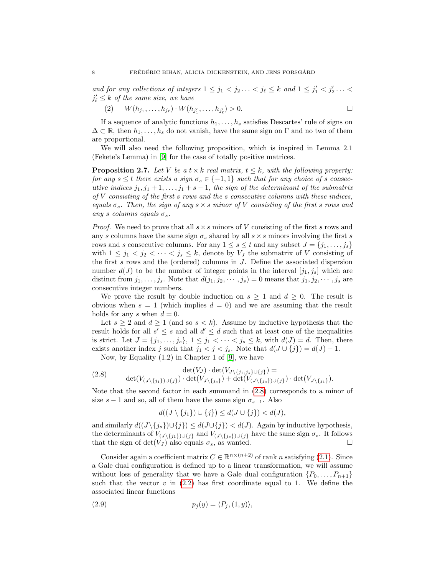and for any collections of integers  $1 \leq j_1 < j_2 \ldots < j_\ell \leq k$  and  $1 \leq j'_1 < j'_2 \ldots <$  $j'_\ell \leq k$  of the same size, we have

<span id="page-7-3"></span>(2)  $W(h_{j_1},...,h_{j_\ell})\cdot W(h_{j'_1},...,h_{j'_\ell})>0.$ 

If a sequence of analytic functions  $h_1, \ldots, h_s$  satisfies Descartes' rule of signs on  $\Delta \subset \mathbb{R}$ , then  $h_1, \ldots, h_s$  do not vanish, have the same sign on  $\Gamma$  and no two of them are proportional.

We will also need the following proposition, which is inspired in Lemma 2.1 (Fekete's Lemma) in [\[9\]](#page-20-4) for the case of totally positive matrices.

<span id="page-7-2"></span>**Proposition 2.7.** Let V be a  $t \times k$  real matrix,  $t \leq k$ , with the following property: for any  $s \leq t$  there exists a sign  $\sigma_s \in \{-1,1\}$  such that for any choice of s consecutive indices  $j_1, j_1 + 1, \ldots, j_1 + s - 1$ , the sign of the determinant of the submatrix of  $V$  consisting of the first  $s$  rows and the  $s$  consecutive columns with these indices, equals  $\sigma_s$ . Then, the sign of any  $s \times s$  minor of V consisting of the first s rows and any s columns equals  $\sigma_s$ .

*Proof.* We need to prove that all  $s \times s$  minors of V consisting of the first s rows and any s columns have the same sign  $\sigma_s$  shared by all  $s \times s$  minors involving the first s rows and s consecutive columns. For any  $1 \leq s \leq t$  and any subset  $J = \{j_1, \ldots, j_s\}$ with  $1 \leq j_1 < j_2 < \cdots < j_s \leq k$ , denote by  $V_J$  the submatrix of V consisting of the first s rows and the (ordered) columns in J. Define the associated dispersion number  $d(J)$  to be the number of integer points in the interval  $[j_1, j_s]$  which are distinct from  $j_1, \ldots, j_s$ . Note that  $d(j_1, j_2, \cdots, j_s) = 0$  means that  $j_1, j_2, \cdots, j_s$  are consecutive integer numbers.

We prove the result by double induction on  $s \geq 1$  and  $d \geq 0$ . The result is obvious when  $s = 1$  (which implies  $d = 0$ ) and we are assuming that the result holds for any s when  $d = 0$ .

Let  $s \geq 2$  and  $d \geq 1$  (and so  $s < k$ ). Assume by inductive hypothesis that the result holds for all  $s' \leq s$  and all  $d' \leq d$  such that at least one of the inequalities is strict. Let  $J = \{j_1, \ldots, j_s\}, 1 \leq j_1 < \cdots < j_s \leq k$ , with  $d(J) = d$ . Then, there exists another index j such that  $j_1 < j < j_s$ . Note that  $d(J \cup \{j\}) = d(J) - 1$ .

<span id="page-7-0"></span>Now, by Equality (1.2) in Chapter 1 of [\[9\]](#page-20-4), we have

(2.8) 
$$
\det(V_J) \cdot \det(V_{J \setminus \{j_1, j_s\} \cup \{j\}}) = \det(V_{(J \setminus \{j_1\}) \cup \{j\}}) \cdot \det(V_{J \setminus \{j_s\}}) + \det(V_{(J \setminus \{j_s\}) \cup \{j\}}) \cdot \det(V_{J \setminus \{j_1\}}).
$$

Note that the second factor in each summand in [\(2.8\)](#page-7-0) corresponds to a minor of size  $s - 1$  and so, all of them have the same sign  $\sigma_{s-1}$ . Also

<span id="page-7-1"></span>
$$
d((J \setminus \{j_1\}) \cup \{j\}) \le d(J \cup \{j\}) < d(J),
$$

and similarly  $d((J \setminus \{j_s\}) \cup \{j\}) \leq d(J \cup \{j\}) < d(J)$ . Again by inductive hypothesis, the determinants of  $V_{(J\setminus\{j_1\})\cup\{j\}}$  and  $V_{(J\setminus\{j_s\})\cup\{j\}}$  have the same sign  $\sigma_s$ . It follows that the sign of  $\det(V_J)$  also equals  $\sigma_s$ , as wanted.

Consider again a coefficient matrix  $C \in \mathbb{R}^{n \times (n+2)}$  of rank n satisfying [\(2.1\)](#page-4-1). Since a Gale dual configuration is defined up to a linear transformation, we will assume without loss of generality that we have a Gale dual configuration  $\{P_0, \ldots, P_{n+1}\}\$ such that the vector  $v$  in [\(2.2\)](#page-4-3) has first coordinate equal to 1. We define the associated linear functions

(2.9) p<sup>j</sup> (y) = hP<sup>j</sup> ,(1, y)i,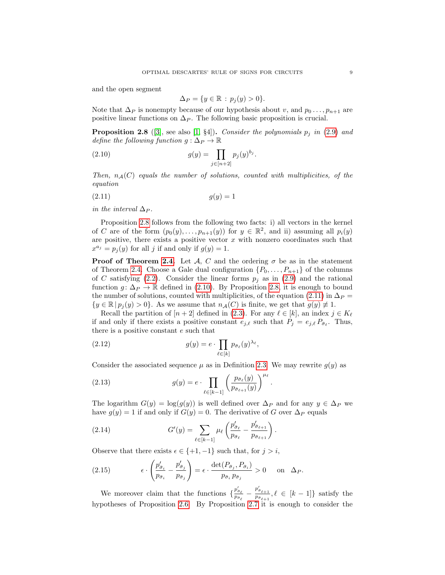and the open segment

<span id="page-8-2"></span><span id="page-8-1"></span>
$$
\Delta_P = \{ y \in \mathbb{R} : p_j(y) > 0 \}.
$$

Note that  $\Delta_P$  is nonempty because of our hypothesis about v, and  $p_0 \ldots, p_{n+1}$  are positive linear functions on  $\Delta_P$ . The following basic proposition is crucial.

<span id="page-8-0"></span>**Proposition 2.8** ([\[3\]](#page-20-5), see also [\[1,](#page-20-0) §4]). Consider the polynomials  $p_j$  in [\(2.9\)](#page-7-1) and define the following function  $g : \Delta_P \to \mathbb{R}$ 

(2.10) 
$$
g(y) = \prod_{j \in [n+2]} p_j(y)^{b_j}.
$$

Then,  $n_A(C)$  equals the number of solutions, counted with multiplicities, of the equation

$$
(2.11) \t\t g(y) = 1
$$

in the interval  $\Delta_P$ .

Proposition [2.8](#page-8-0) follows from the following two facts: i) all vectors in the kernel of C are of the form  $(p_0(y), \ldots, p_{n+1}(y))$  for  $y \in \mathbb{R}^2$ , and ii) assuming all  $p_i(y)$ are positive, there exists a positive vector  $x$  with nonzero coordinates such that  $x^{a_j} = p_j(y)$  for all j if and only if  $g(y) = 1$ .

**Proof of Theorem [2.4.](#page-6-0)** Let  $\mathcal{A}$ , C and the ordering  $\sigma$  be as in the statement of Theorem [2.4.](#page-6-0) Choose a Gale dual configuration  $\{P_0, \ldots, P_{n+1}\}\$  of the columns of C satisfying [\(2.2\)](#page-4-3). Consider the linear forms  $p_j$  as in [\(2.9\)](#page-7-1) and the rational function  $g: \Delta_P \to \mathbb{R}$  defined in [\(2.10\)](#page-8-1). By Proposition [2.8,](#page-8-0) it is enough to bound the number of solutions, counted with multiplicities, of the equation [\(2.11\)](#page-8-2) in  $\Delta_P$  =  $\{y \in \mathbb{R} \mid p_i(y) > 0\}$ . As we assume that  $n_{\mathcal{A}}(C)$  is finite, we get that  $g(y) \neq 1$ .

Recall the partition of  $[n+2]$  defined in [\(2.3\)](#page-4-4). For any  $\ell \in [k]$ , an index  $j \in K_{\ell}$ if and only if there exists a positive constant  $e_{j,\ell}$  such that  $P_j = e_{j,\ell} P_{\bar{\sigma}_\ell}$ . Thus, there is a positive constant e such that

(2.12) 
$$
g(y) = e \cdot \prod_{\ell \in [k]} p_{\bar{\sigma}_{\ell}}(y)^{\lambda_{\ell}},
$$

Consider the associated sequence  $\mu$  as in Definition [2.3.](#page-5-0) We may rewrite  $g(y)$  as

(2.13) 
$$
g(y) = e \cdot \prod_{\ell \in [k-1]} \left( \frac{p_{\bar{\sigma}_{\ell}}(y)}{p_{\bar{\sigma}_{\ell+1}}(y)} \right)^{\mu_{\ell}}
$$

The logarithm  $G(y) = \log(g(y))$  is well defined over  $\Delta_P$  and for any  $y \in \Delta_P$  we have  $g(y) = 1$  if and only if  $G(y) = 0$ . The derivative of G over  $\Delta_P$  equals

.

(2.14) 
$$
G'(y) = \sum_{\ell \in [k-1]} \mu_{\ell} \left( \frac{p'_{\bar{\sigma}_{\ell}}}{p_{\bar{\sigma}_{\ell}}} - \frac{p'_{\bar{\sigma}_{\ell+1}}}{p_{\bar{\sigma}_{\ell+1}}} \right).
$$

Observe that there exists  $\epsilon \in \{+1, -1\}$  such that, for  $j > i$ ,

(2.15) 
$$
\epsilon \cdot \left( \frac{p'_{\bar{\sigma}_i}}{p_{\bar{\sigma}_i}} - \frac{p'_{\bar{\sigma}_j}}{p_{\bar{\sigma}_j}} \right) = \epsilon \cdot \frac{\det(P_{\bar{\sigma}_j}, P_{\bar{\sigma}_i})}{p_{\bar{\sigma}_i} p_{\bar{\sigma}_j}} > 0 \quad \text{on } \Delta_P.
$$

We moreover claim that the functions  $\{\frac{p'_{\bar{\sigma}_{\ell}}}{p_{\bar{\sigma}_{\ell}}} - \frac{p'_{\bar{\sigma}_{\ell+1}}}{p_{\bar{\sigma}_{\ell+1}}}, \ell \in [k-1]\}$  satisfy the hypotheses of Proposition [2.6.](#page-6-1) By Proposition [2.7](#page-7-2) it is enough to consider the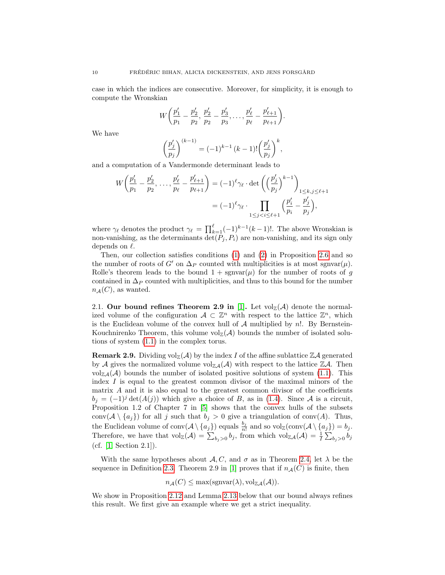case in which the indices are consecutive. Moreover, for simplicity, it is enough to compute the Wronskian

$$
W\left(\frac{p'_1}{p_1}-\frac{p'_2}{p_2},\frac{p'_2}{p_2}-\frac{p'_3}{p_3},\ldots,\frac{p'_\ell}{p_\ell}-\frac{p'_{\ell+1}}{p_{\ell+1}}\right).
$$

We have

$$
\left(\frac{p_j'}{p_j}\right)^{(k-1)} = (-1)^{k-1} (k-1)! \left(\frac{p_j'}{p_j}\right)^k,
$$

and a computation of a Vandermonde determinant leads to

$$
W\left(\frac{p'_1}{p_1} - \frac{p'_2}{p_2}, \dots, \frac{p'_\ell}{p_\ell} - \frac{p'_{\ell+1}}{p_{\ell+1}}\right) = (-1)^\ell \gamma_\ell \cdot \det\left(\left(\frac{p'_j}{p_j}\right)^{k-1}\right)_{\substack{1 \leq k, j \leq \ell+1 \\ 1 \leq j < i \leq \ell+1}} \left(\frac{p'_i}{p_i} - \frac{p'_j}{p_j}\right),
$$

where  $\gamma_{\ell}$  denotes the product  $\gamma_{\ell} = \prod_{k=1}^{\ell} (-1)^{k-1} (k-1)!$ . The above Wronskian is non-vanishing, as the determinants  $\det(P_j, P_i)$  are non-vanishing, and its sign only depends on  $\ell$ .

Then, our collection satisfies conditions [\(1\)](#page-6-2) and [\(2\)](#page-7-3) in Proposition [2.6](#page-6-1) and so the number of roots of G' on  $\Delta_P$  counted with multiplicities is at most sgnvar( $\mu$ ). Rolle's theorem leads to the bound  $1 + \text{sgnvar}(\mu)$  for the number of roots of g contained in  $\Delta_P$  counted with multiplicities, and thus to this bound for the number  $n_A(C)$ , as wanted.

<span id="page-9-0"></span>2.1. Our bound refines Theorem 2.9 in [\[1\]](#page-20-0). Let  $\mathrm{vol}_{\mathbb{Z}}(\mathcal{A})$  denote the normalized volume of the configuration  $A \subset \mathbb{Z}^n$  with respect to the lattice  $\mathbb{Z}^n$ , which is the Euclidean volume of the convex hull of  $A$  multiplied by  $n!$ . By Bernstein-Kouchnirenko Theorem, this volume  $\mathrm{vol}_{\mathbb{Z}}(\mathcal{A})$  bounds the number of isolated solutions of system [\(1.1\)](#page-0-0) in the complex torus.

<span id="page-9-1"></span>**Remark 2.9.** Dividing  $\text{vol}_{\mathbb{Z}}(\mathcal{A})$  by the index I of the affine sublattice  $\mathbb{Z}\mathcal{A}$  generated by A gives the normalized volume  $\text{vol}_{\mathbb{Z}A}(\mathcal{A})$  with respect to the lattice  $\mathbb{Z}\mathcal{A}$ . Then  $\text{vol}_{\mathbb{Z}A}(\mathcal{A})$  bounds the number of isolated positive solutions of system [\(1.1\)](#page-0-0). This index  $I$  is equal to the greatest common divisor of the maximal minors of the matrix A and it is also equal to the greatest common divisor of the coefficients  $b_j = (-1)^j \det(A(j))$  which give a choice of B, as in [\(1.4\)](#page-2-2). Since A is a circuit, Proposition 1.2 of Chapter 7 in [\[5\]](#page-20-6) shows that the convex hulls of the subsets conv( $A \setminus \{a_j\}$ ) for all j such that  $b_j > 0$  give a triangulation of conv(A). Thus, the Euclidean volume of  $\text{conv}(\mathcal{A} \setminus \{a_j\})$  equals  $\frac{b_j}{n!}$  and so  $\text{vol}_{\mathbb{Z}}(\text{conv}(\mathcal{A} \setminus \{a_j\}) = b_j$ . Therefore, we have that  $\text{vol}_{\mathbb{Z}}(\mathcal{A}) = \sum_{b_j>0} b_j$ , from which  $\text{vol}_{\mathbb{Z}\mathcal{A}}(\mathcal{A}) = \frac{1}{I} \sum_{b_j>0} b_j$ (cf. [\[1,](#page-20-0) Section 2.1]).

With the same hypotheses about  $A, C$ , and  $\sigma$  as in Theorem [2.4,](#page-6-0) let  $\lambda$  be the sequence in Definition [2.3.](#page-5-0) Theorem 2.9 in [\[1\]](#page-20-0) proves that if  $n_{\mathcal{A}}(C)$  is finite, then

$$
n_{\mathcal{A}}(C) \leq \max(\text{sgnvar}(\lambda), \text{vol}_{\mathbb{Z}\mathcal{A}}(\mathcal{A})).
$$

We show in Proposition [2.12](#page-10-0) and Lemma [2.13](#page-11-0) below that our bound always refines this result. We first give an example where we get a strict inequality.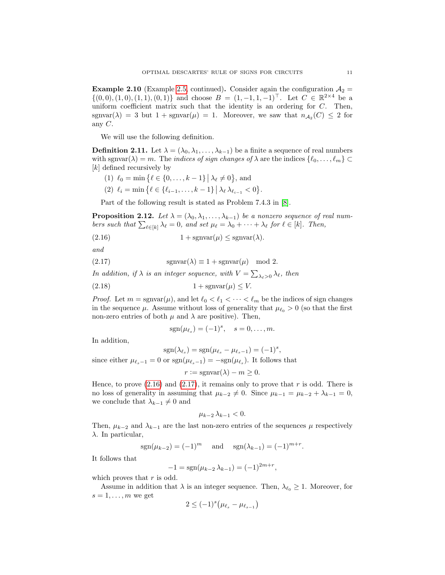**Example 2.10** (Example [2.5,](#page-6-3) continued). Consider again the configuration  $A_2 =$  $\{(0,0), (1,0), (1,1), (0,1)\}\$ and choose  $B = (1, -1, 1, -1)^\top$ . Let  $C \in \mathbb{R}^{2 \times 4}$  be a uniform coefficient matrix such that the identity is an ordering for  $C$ . Then, sgnvar( $\lambda$ ) = 3 but 1 + sgnvar( $\mu$ ) = 1. Moreover, we saw that  $n_{\mathcal{A}_2}(C) \leq 2$  for any  $C$ .

We will use the following definition.

**Definition 2.11.** Let  $\lambda = (\lambda_0, \lambda_1, \dots, \lambda_{k-1})$  be a finite a sequence of real numbers with sgnvar( $\lambda$ ) = m. The *indices of sign changes of*  $\lambda$  are the indices  $\{\ell_0, \ldots, \ell_m\}$ [k] defined recursively by

- (1)  $\ell_0 = \min \{ \ell \in \{0, \ldots, k 1\} \mid \lambda_\ell \neq 0 \},\$ and
- <span id="page-10-1"></span>(2)  $\ell_i = \min \{ \ell \in \{ \ell_{i-1}, \ldots, k-1 \} \, | \, \lambda_{\ell} \, \lambda_{\ell_{i-1}} < 0 \}.$

Part of the following result is stated as Problem 7.4.3 in [\[8\]](#page-20-7).

<span id="page-10-0"></span>**Proposition 2.12.** Let  $\lambda = (\lambda_0, \lambda_1, \ldots, \lambda_{k-1})$  be a nonzero sequence of real numbers such that  $\sum_{\ell \in [k]} \lambda_{\ell} = 0$ , and set  $\mu_{\ell} = \lambda_0 + \cdots + \lambda_{\ell}$  for  $\ell \in [k]$ . Then,

(2.16)  $1 + \text{sgnvar}(\mu) \leq \text{sgnvar}(\lambda).$ 

and

(2.17)  $\text{sgnvar}(\lambda) \equiv 1 + \text{sgnvar}(\mu) \mod 2.$ 

In addition, if  $\lambda$  is an integer sequence, with  $V = \sum_{\lambda_{\ell} > 0} \lambda_{\ell}$ , then

$$
(2.18) \t\t 1 + \operatorname{sgnvar}(\mu) \le V.
$$

*Proof.* Let  $m = \text{sgnvar}(\mu)$ , and let  $\ell_0 < \ell_1 < \cdots < \ell_m$  be the indices of sign changes in the sequence  $\mu$ . Assume without loss of generality that  $\mu_{\ell_0} > 0$  (so that the first non-zero entries of both  $\mu$  and  $\lambda$  are positive). Then,

<span id="page-10-3"></span><span id="page-10-2"></span>
$$
sgn(\mu_{\ell_s}) = (-1)^s, \quad s = 0, \dots, m.
$$

In addition,

 $sgn(\lambda_{\ell_s}) = sgn(\mu_{\ell_s} - \mu_{\ell_s-1}) = (-1)^s,$ 

since either  $\mu_{\ell_s-1} = 0$  or  $sgn(\mu_{\ell_s-1}) = -sgn(\mu_{\ell_s})$ . It follows that

$$
r := \operatorname{sgnvar}(\lambda) - m \ge 0.
$$

Hence, to prove  $(2.16)$  and  $(2.17)$ , it remains only to prove that r is odd. There is no loss of generality in assuming that  $\mu_{k-2} \neq 0$ . Since  $\mu_{k-1} = \mu_{k-2} + \lambda_{k-1} = 0$ , we conclude that  $\lambda_{k-1} \neq 0$  and

$$
\mu_{k-2}\,\lambda_{k-1}<0.
$$

Then,  $\mu_{k-2}$  and  $\lambda_{k-1}$  are the last non-zero entries of the sequences  $\mu$  respectively λ. In particular,

$$
sgn(\mu_{k-2}) = (-1)^m
$$
 and  $sgn(\lambda_{k-1}) = (-1)^{m+r}$ .

It follows that

$$
-1 = sgn(\mu_{k-2} \lambda_{k-1}) = (-1)^{2m+r}
$$

,

which proves that  $r$  is odd.

Assume in addition that  $\lambda$  is an integer sequence. Then,  $\lambda_{\ell_0} \geq 1$ . Moreover, for  $s = 1, \ldots, m$  we get

$$
2 \leq (-1)^s \big(\mu_{\ell_s} - \mu_{\ell_{s-1}}\big)
$$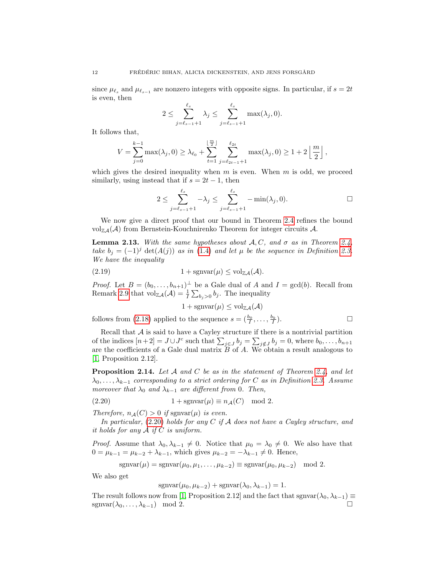since  $\mu_{\ell_s}$  and  $\mu_{\ell_{s-1}}$  are nonzero integers with opposite signs. In particular, if  $s = 2t$ is even, then

$$
2 \leq \sum_{j=\ell_{s-1}+1}^{\ell_s} \lambda_j \leq \sum_{j=\ell_{s-1}+1}^{\ell_s} \max(\lambda_j, 0).
$$

It follows that,

$$
V = \sum_{j=0}^{k-1} \max(\lambda_j, 0) \ge \lambda_{\ell_0} + \sum_{t=1}^{\lfloor \frac{m}{2} \rfloor} \sum_{j=\ell_{2t-1}+1}^{\ell_{2t}} \max(\lambda_j, 0) \ge 1 + 2 \left\lfloor \frac{m}{2} \right\rfloor,
$$

which gives the desired inequality when  $m$  is even. When  $m$  is odd, we proceed similarly, using instead that if  $s = 2t - 1$ , then

$$
2 \le \sum_{j=\ell_{s-1}+1}^{\ell_s} -\lambda_j \le \sum_{j=\ell_{s-1}+1}^{\ell_s} -\min(\lambda_j, 0). \qquad \qquad \Box
$$

We now give a direct proof that our bound in Theorem [2.4](#page-6-0) refines the bound  $\mathrm{vol}_{\mathbb{Z}A}(\mathcal{A})$  from Bernstein-Kouchnirenko Theorem for integer circuits A.

<span id="page-11-0"></span>**Lemma 2.13.** With the same hypotheses about  $A, C$ , and  $\sigma$  as in Theorem [2.4,](#page-6-0) take  $b_j = (-1)^j \det(A(j))$  as in [\(1.4\)](#page-2-2) and let  $\mu$  be the sequence in Definition [2.3.](#page-5-0) We have the inequality

$$
(2.19) \t 1 + \operatorname{sgnvar}(\mu) \le \operatorname{vol}_{\mathbb{Z}\mathcal{A}}(\mathcal{A}).
$$

*Proof.* Let  $B = (b_0, \ldots, b_{n+1})^{\perp}$  be a Gale dual of A and  $I = \gcd(b)$ . Recall from Remark [2.9](#page-9-1) that  $\mathrm{vol}_{\mathbb{Z}A}(\mathcal{A}) = \frac{1}{I} \sum_{b_j>0} b_j$ . The inequality

 $1 + \text{sgnvar}(\mu) \leq \text{vol}_{\mathbb{Z}A}(\mathcal{A})$ 

follows from [\(2.18\)](#page-10-3) applied to the sequence  $s = (\frac{b_0}{I}, \ldots, \frac{b_k}{I})$  $\Box$ 

Recall that  $A$  is said to have a Cayley structure if there is a nontrivial partition of the indices  $[n+2] = J \cup J^c$  such that  $\sum_{j \in J} b_j = \sum_{j \notin J} b_j = 0$ , where  $b_0, \ldots, b_{n+1}$ are the coefficients of a Gale dual matrix  $\overline{B}$  of  $\overline{A}$ . We obtain a result analogous to [\[1,](#page-20-0) Proposition 2.12].

**Proposition 2.14.** Let A and C be as in the statement of Theorem [2.4,](#page-6-0) and let  $\lambda_0, \ldots, \lambda_{k-1}$  corresponding to a strict ordering for C as in Definition [2.3.](#page-5-0) Assume moreover that  $\lambda_0$  and  $\lambda_{k-1}$  are different from 0. Then,

<span id="page-11-1"></span>(2.20) 
$$
1 + \text{sgnvar}(\mu) \equiv n_{\mathcal{A}}(C) \mod 2.
$$

Therefore,  $n_{\mathcal{A}}(C) > 0$  if sgnvar $(\mu)$  is even.

In particular,  $(2.20)$  holds for any C if A does not have a Cayley structure, and it holds for any  $A$  if  $C$  is uniform.

*Proof.* Assume that  $\lambda_0, \lambda_{k-1} \neq 0$ . Notice that  $\mu_0 = \lambda_0 \neq 0$ . We also have that  $0 = \mu_{k-1} = \mu_{k-2} + \lambda_{k-1}$ , which gives  $\mu_{k-2} = -\lambda_{k-1} \neq 0$ . Hence,

$$
\operatorname{sgnvar}(\mu) = \operatorname{sgnvar}(\mu_0, \mu_1, \dots, \mu_{k-2}) \equiv \operatorname{sgnvar}(\mu_0, \mu_{k-2}) \mod 2.
$$

We also get

$$
\operatorname{sgnvar}(\mu_0, \mu_{k-2}) + \operatorname{sgnvar}(\lambda_0, \lambda_{k-1}) = 1.
$$

The result follows now from [\[1,](#page-20-0) Proposition 2.12] and the fact that sgnvar $(\lambda_0, \lambda_{k-1}) \equiv$ sgnvar $(\lambda_0, \ldots, \lambda_{k-1})$  mod 2.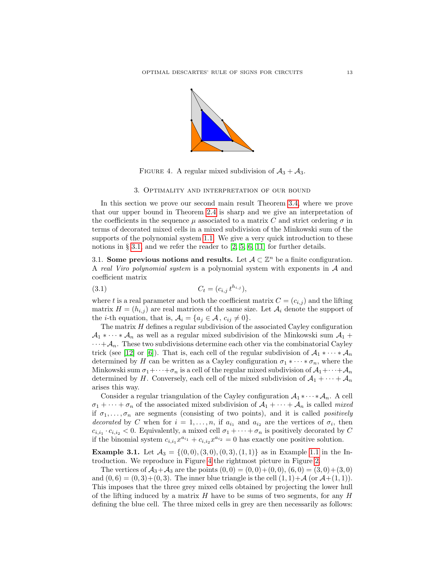

FIGURE 4. A regular mixed subdivision of  $A_3 + A_3$ .

## <span id="page-12-3"></span>3. Optimality and interpretation of our bound

<span id="page-12-0"></span>In this section we prove our second main result Theorem [3.4,](#page-14-0) where we prove that our upper bound in Theorem [2.4](#page-6-0) is sharp and we give an interpretation of the coefficients in the sequence  $\mu$  associated to a matrix C and strict ordering  $\sigma$  in terms of decorated mixed cells in a mixed subdivision of the Minkowski sum of the supports of the polynomial system [1.1.](#page-0-0) We give a very quick introduction to these notions in § [3.1,](#page-12-2) and we refer the reader to  $[2, 5, 6, 11]$  $[2, 5, 6, 11]$  $[2, 5, 6, 11]$  $[2, 5, 6, 11]$  for further details.

<span id="page-12-2"></span>3.1. Some previous notions and results. Let  $A \subset \mathbb{Z}^n$  be a finite configuration. A real Viro polynomial system is a polynomial system with exponents in A and coefficient matrix

<span id="page-12-4"></span>(3.1) 
$$
C_t = (c_{i,j} t^{h_{i,j}}),
$$

where t is a real parameter and both the coefficient matrix  $C = (c_{i,j})$  and the lifting matrix  $H = (h_{i,j})$  are real matrices of the same size. Let  $A_i$  denote the support of the *i*-th equation, that is,  $A_i = \{a_j \in \mathcal{A}, c_{ij} \neq 0\}.$ 

The matrix  $H$  defines a regular subdivision of the associated Cayley configuration  $A_1 * \cdots * A_n$  as well as a regular mixed subdivision of the Minkowski sum  $A_1 +$  $\cdots + A_n$ . These two subdivisions determine each other via the combinatorial Cayley trick (see [\[12\]](#page-20-10) or [\[6\]](#page-20-9)). That is, each cell of the regular subdivision of  $\mathcal{A}_1 * \cdots * \mathcal{A}_n$ determined by H can be written as a Cayley configuration  $\sigma_1 * \cdots * \sigma_n$ , where the Minkowski sum  $\sigma_1+\cdots+\sigma_n$  is a cell of the regular mixed subdivision of  $\mathcal{A}_1+\cdots+\mathcal{A}_n$ determined by H. Conversely, each cell of the mixed subdivision of  $A_1 + \cdots + A_n$ arises this way.

Consider a regular triangulation of the Cayley configuration  $\mathcal{A}_1 \cdot \cdots \cdot \mathcal{A}_n$ . A cell  $\sigma_1 + \cdots + \sigma_n$  of the associated mixed subdivision of  $\mathcal{A}_1 + \cdots + \mathcal{A}_n$  is called mixed if  $\sigma_1, \ldots, \sigma_n$  are segments (consisting of two points), and it is called *positively* decorated by C when for  $i = 1, ..., n$ , if  $a_{i_1}$  and  $a_{i_2}$  are the vertices of  $\sigma_i$ , then  $c_{i,i_1} \cdot c_{i,i_2} < 0$ . Equivalently, a mixed cell  $\sigma_1 + \cdots + \sigma_n$  is positively decorated by C if the binomial system  $c_{i,i_1}x^{a_{i_1}} + c_{i,i_2}x^{a_{i_2}} = 0$  has exactly one positive solution.

<span id="page-12-1"></span>**Example 3.1.** Let  $A_3 = \{(0,0), (3,0), (0,3), (1,1)\}$  as in Example [1.1](#page-3-1) in the Introduction. We reproduce in Figure [4](#page-12-3) the rightmost picture in Figure [2.](#page-3-0)

The vertices of  $\mathcal{A}_3+\mathcal{A}_3$  are the points  $(0,0) = (0,0)+(0,0)$ ,  $(6,0) = (3,0)+(3,0)$ and  $(0, 6) = (0, 3) + (0, 3)$ . The inner blue triangle is the cell  $(1, 1) + A$  (or  $A + (1, 1)$ ). This imposes that the three grey mixed cells obtained by projecting the lower hull of the lifting induced by a matrix  $H$  have to be sums of two segments, for any  $H$ defining the blue cell. The three mixed cells in grey are then necessarily as follows: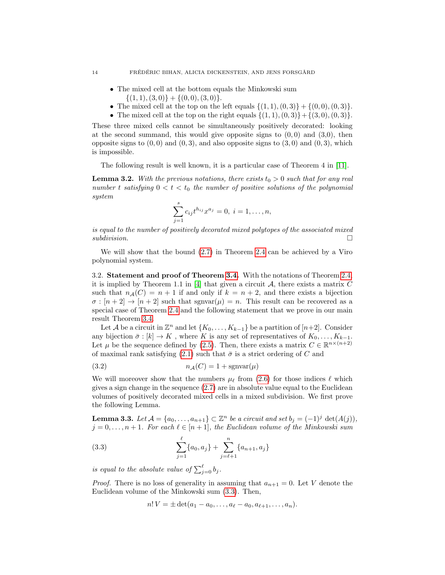- The mixed cell at the bottom equals the Minkowski sum  $\{(1, 1), (3, 0)\} + \{(0, 0), (3, 0)\}.$
- The mixed cell at the top on the left equals  $\{(1, 1), (0, 3)\} + \{(0, 0), (0, 3)\}.$
- The mixed cell at the top on the right equals  $\{(1, 1), (0, 3)\} + \{(3, 0), (0, 3)\}.$

These three mixed cells cannot be simultaneously positively decorated: looking at the second summand, this would give opposite signs to  $(0,0)$  and  $(3,0)$ , then opposite signs to  $(0, 0)$  and  $(0, 3)$ , and also opposite signs to  $(3, 0)$  and  $(0, 3)$ , which is impossible.

The following result is well known, it is a particular case of Theorem 4 in [\[11\]](#page-20-1).

<span id="page-13-1"></span>**Lemma 3.2.** With the previous notations, there exists  $t_0 > 0$  such that for any real number t satisfying  $0 < t < t_0$  the number of positive solutions of the polynomial system

$$
\sum_{j=1}^{s} c_{ij} t^{h_{ij}} x^{a_j} = 0, \ i = 1, \dots, n,
$$

is equal to the number of positively decorated mixed polytopes of the associated mixed  $subdivision.$ 

We will show that the bound [\(2.7\)](#page-6-4) in Theorem [2.4](#page-6-0) can be achieved by a Viro polynomial system.

3.2. Statement and proof of Theorem [3.4.](#page-14-0) With the notations of Theorem [2.4,](#page-6-0) it is implied by Theorem 1.1 in [\[4\]](#page-20-11) that given a circuit  $A$ , there exists a matrix  $C$ such that  $n_A(C) = n + 1$  if and only if  $k = n + 2$ , and there exists a bijection  $\sigma : [n+2] \to [n+2]$  such that sgnvar $(\mu) = n$ . This result can be recovered as a special case of Theorem [2.4](#page-6-0) and the following statement that we prove in our main result Theorem [3.4.](#page-14-0)

Let A be a circuit in  $\mathbb{Z}^n$  and let  $\{K_0, \ldots, K_{k-1}\}$  be a partition of  $[n+2]$ . Consider any bijection  $\bar{\sigma}: [k] \to K$ , where K is any set of representatives of  $K_0, \ldots, K_{k-1}$ . Let  $\mu$  be the sequence defined by [\(2.5\)](#page-5-2). Then, there exists a matrix  $C \in \mathbb{R}^{n \times (n+2)}$ of maximal rank satisfying [\(2.1\)](#page-4-1) such that  $\bar{\sigma}$  is a strict ordering of C and

$$
(3.2) \t\t n\mathcal{A}(C) = 1 + \text{sgnvar}(\mu)
$$

We will moreover show that the numbers  $\mu_{\ell}$  from [\(2.6\)](#page-6-5) for those indices  $\ell$  which gives a sign change in the sequence  $(2.7)$  are in absolute value equal to the Euclidean volumes of positively decorated mixed cells in a mixed subdivision. We first prove the following Lemma.

<span id="page-13-2"></span>**Lemma 3.3.** Let  $A = \{a_0, \ldots, a_{n+1}\} \subset \mathbb{Z}^n$  be a circuit and set  $b_j = (-1)^j \det(A(j)),$  $j = 0, \ldots, n + 1$ . For each  $\ell \in [n + 1]$ , the Euclidean volume of the Minkowski sum

(3.3) 
$$
\sum_{j=1}^{\ell} \{a_0, a_j\} + \sum_{j=\ell+1}^{n} \{a_{n+1}, a_j\}
$$

is equal to the absolute value of  $\sum_{j=0}^{\ell} b_j$ .

*Proof.* There is no loss of generality in assuming that  $a_{n+1} = 0$ . Let V denote the Euclidean volume of the Minkowski sum [\(3.3\)](#page-13-0). Then,

<span id="page-13-0"></span>
$$
n! V = \pm \det(a_1 - a_0, \dots, a_{\ell} - a_0, a_{\ell+1}, \dots, a_n).
$$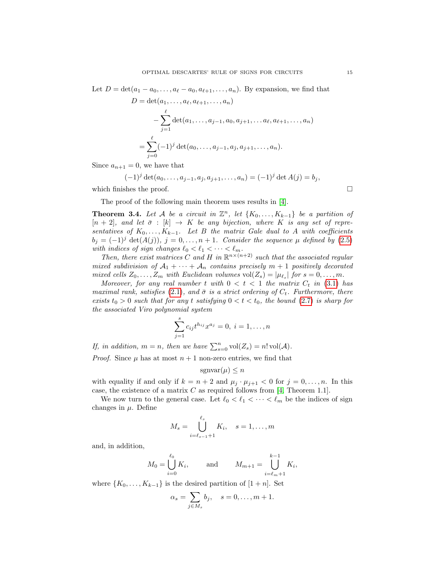Let  $D = \det(a_1 - a_0, \ldots, a_\ell - a_0, a_{\ell+1}, \ldots, a_n)$ . By expansion, we find that

$$
D = \det(a_1, \dots, a_\ell, a_{\ell+1}, \dots, a_n)
$$
  
- 
$$
\sum_{j=1}^{\ell} \det(a_1, \dots, a_{j-1}, a_0, a_{j+1}, \dots, a_\ell, a_{\ell+1}, \dots, a_n)
$$
  
= 
$$
\sum_{j=0}^{\ell} (-1)^j \det(a_0, \dots, a_{j-1}, a_j, a_{j+1}, \dots, a_n).
$$

Since  $a_{n+1} = 0$ , we have that

$$
(-1)^j \det(a_0, \ldots, a_{j-1}, a_j, a_{j+1}, \ldots, a_n) = (-1)^j \det A(j) = b_j,
$$

which finishes the proof.  $\Box$ 

The proof of the following main theorem uses results in [\[4\]](#page-20-11).

<span id="page-14-0"></span>**Theorem 3.4.** Let A be a circuit in  $\mathbb{Z}^n$ , let  $\{K_0, \ldots, K_{k-1}\}$  be a partition of  $[n+2]$ , and let  $\bar{\sigma}$  :  $[k] \rightarrow K$  be any bijection, where K is any set of representatives of  $K_0, \ldots, K_{k-1}$ . Let B the matrix Gale dual to A with coefficients  $b_j = (-1)^j \det(A(j)), j = 0, \ldots, n+1$ . Consider the sequence  $\mu$  defined by [\(2.5\)](#page-5-2) with indices of sign changes  $\ell_0 < \ell_1 < \cdots < \ell_m$ .

Then, there exist matrices C and H in  $\mathbb{R}^{n \times (n+2)}$  such that the associated regular mixed subdivision of  $A_1 + \cdots + A_n$  contains precisely  $m + 1$  positively decorated mixed cells  $Z_0, \ldots, Z_m$  with Euclidean volumes  $vol(Z_s) = |\mu_{\ell_s}|$  for  $s = 0, \ldots, m$ .

Moreover, for any real number t with  $0 < t < 1$  the matrix  $C_t$  in [\(3.1\)](#page-12-4) has maximal rank, satisfies [\(2.1\)](#page-4-1), and  $\bar{\sigma}$  is a strict ordering of  $C_t$ . Furthermore, there exists  $t_0 > 0$  such that for any t satisfying  $0 < t < t_0$ , the bound [\(2.7\)](#page-6-4) is sharp for the associated Viro polynomial system

$$
\sum_{j=1}^{s} c_{ij} t^{h_{ij}} x^{a_j} = 0, \ i = 1, \dots, n
$$

If, in addition,  $m = n$ , then we have  $\sum_{s=0}^{n} vol(Z_s) = n! vol(\mathcal{A}).$ 

*Proof.* Since  $\mu$  has at most  $n + 1$  non-zero entries, we find that

$$
\operatorname{sgnvar}(\mu) \le n
$$

with equality if and only if  $k = n + 2$  and  $\mu_j \cdot \mu_{j+1} < 0$  for  $j = 0, \ldots, n$ . In this case, the existence of a matrix  $C$  as required follows from [\[4,](#page-20-11) Theorem 1.1].

We now turn to the general case. Let  $\ell_0 < \ell_1 < \cdots < \ell_m$  be the indices of sign changes in  $\mu$ . Define

$$
M_s = \bigcup_{i=\ell_{s-1}+1}^{\ell_s} K_i, \quad s = 1, \dots, m
$$

and, in addition,

$$
M_0 = \bigcup_{i=0}^{\ell_0} K_i
$$
, and  $M_{m+1} = \bigcup_{i=\ell_m+1}^{k-1} K_i$ ,

where  $\{K_0, \ldots, K_{k-1}\}\$ is the desired partition of  $[1+n]$ . Set

$$
\alpha_s = \sum_{j \in M_s} b_j, \quad s = 0, \dots, m+1.
$$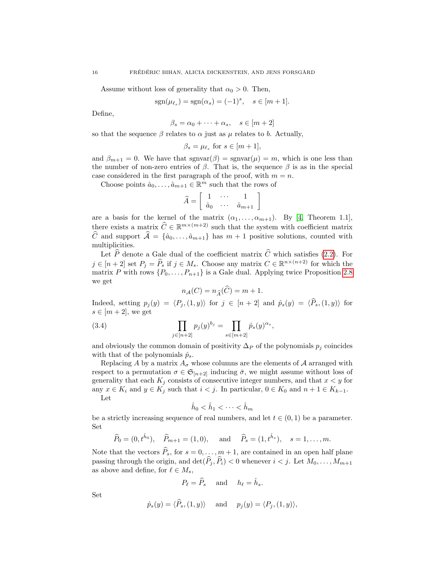Assume without loss of generality that  $\alpha_0 > 0$ . Then,

$$
sgn(\mu_{\ell_s}) = sgn(\alpha_s) = (-1)^s, \quad s \in [m+1].
$$

Define,

$$
\beta_s = \alpha_0 + \dots + \alpha_s, \quad s \in [m+2]
$$

so that the sequence  $\beta$  relates to  $\alpha$  just as  $\mu$  relates to b. Actually,

$$
\beta_s = \mu_{\ell_s} \text{ for } s \in [m+1],
$$

and  $\beta_{m+1} = 0$ . We have that sgnvar $(\beta) = \text{sgnvar}(\mu) = m$ , which is one less than the number of non-zero entries of  $\beta$ . That is, the sequence  $\beta$  is as in the special case considered in the first paragraph of the proof, with  $m = n$ .

Choose points  $\hat{a}_0, \ldots, \hat{a}_{m+1} \in \mathbb{R}^m$  such that the rows of

$$
\widehat{A} = \left[ \begin{array}{ccc} 1 & \cdots & 1 \\ \widehat{a}_0 & \cdots & \widehat{a}_{m+1} \end{array} \right]
$$

are a basis for the kernel of the matrix  $(\alpha_1, \ldots, \alpha_{m+1})$ . By [\[4,](#page-20-11) Theorem 1.1], there exists a matrix  $\widehat{C} \in \mathbb{R}^{m \times (m+2)}$  such that the system with coefficient matrix  $\hat{C}$  and support  $\hat{A} = \{\hat{a}_0, \ldots, \hat{a}_{m+1}\}\$  has  $m + 1$  positive solutions, counted with multiplicities.

Let  $\widehat{P}$  denote a Gale dual of the coefficient matrix  $\widehat{C}$  which satisfies [\(2.2\)](#page-4-3). For  $j \in [n+2]$  set  $P_j = \widehat{P}_s$  if  $j \in M_s$ . Choose any matrix  $C \in \mathbb{R}^{n \times (n+2)}$  for which the matrix P with rows  $\{P_0, \ldots, P_{n+1}\}$  is a Gale dual. Applying twice Proposition [2.8](#page-8-0) we get

<span id="page-15-0"></span>
$$
n_{\mathcal{A}}(C) = n_{\widehat{A}}(\widehat{C}) = m + 1.
$$

Indeed, setting  $p_j(y) = \langle P_j , (1, y) \rangle$  for  $j \in [n + 2]$  and  $\hat{p}_s(y) = \langle \hat{P}_s, (1, y) \rangle$  for  $s \in [m+2]$ , we get

(3.4) 
$$
\prod_{j \in [n+2]} p_j(y)^{b_j} = \prod_{s \in [m+2]} \hat{p}_s(y)^{\alpha_s},
$$

and obviously the common domain of positivity  $\Delta_P$  of the polynomials  $p_j$  coincides with that of the polynomials  $\hat{p}_s$ .

Replacing A by a matrix  $A_{\sigma}$  whose columns are the elements of A arranged with respect to a permutation  $\sigma \in \mathfrak{S}_{[n+2]}$  inducing  $\bar{\sigma}$ , we might assume without loss of generality that each  $K_j$  consists of consecutive integer numbers, and that  $x < y$  for any  $x \in K_i$  and  $y \in K_j$  such that  $i < j$ . In particular,  $0 \in K_0$  and  $n + 1 \in K_{k-1}$ .

Let

$$
\hat{h}_0 < \hat{h}_1 < \cdots < \hat{h}_m
$$

be a strictly increasing sequence of real numbers, and let  $t \in (0, 1)$  be a parameter. Set

$$
\widehat{P}_0 = (0, t^{\hat{h}_0}), \quad \widehat{P}_{m+1} = (1, 0), \quad \text{and} \quad \widehat{P}_s = (1, t^{\hat{h}_s}), \quad s = 1, \dots, m.
$$

Note that the vectors  $\widehat{P}_s$ , for  $s = 0, \ldots, m + 1$ , are contained in an open half plane passing through the origin, and  $\det(\widehat{P}_i, \widehat{P}_i) < 0$  whenever  $i < j$ . Let  $M_0, \ldots, M_{m+1}$ as above and define, for  $\ell \in M_s$ ,

$$
P_{\ell} = \widehat{P}_s \quad \text{and} \quad h_{\ell} = \widehat{h}_s.
$$

Set

$$
\hat{p}_s(y) = \langle \hat{P}_s, (1, y) \rangle
$$
 and  $p_j(y) = \langle P_j, (1, y) \rangle$ ,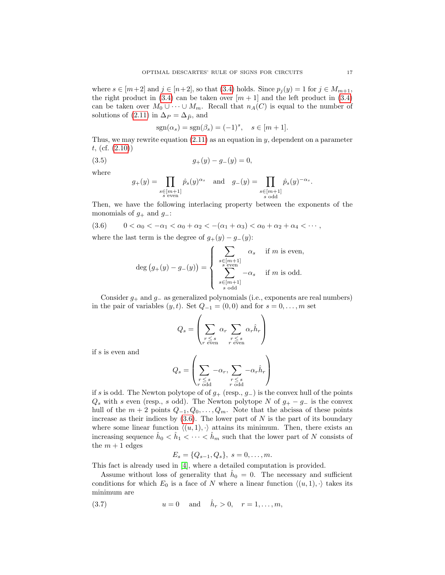where  $s \in [m+2]$  and  $j \in [n+2]$ , so that [\(3.4\)](#page-15-0) holds. Since  $p_i(y) = 1$  for  $j \in M_{m+1}$ , the right product in  $(3.4)$  can be taken over  $[m+1]$  and the left product in  $(3.4)$ can be taken over  $M_0 \cup \cdots \cup M_m$ . Recall that  $n_A(C)$  is equal to the number of solutions of [\(2.11\)](#page-8-2) in  $\Delta_P = \Delta_{\widehat{P}}$ , and

$$
sgn(\alpha_s) = sgn(\beta_s) = (-1)^s, \quad s \in [m+1].
$$

Thus, we may rewrite equation  $(2.11)$  as an equation in y, dependent on a parameter t, (cf. [\(2.10\)](#page-8-1))

$$
(3.5) \t\t\t g_{+}(y) - g_{-}(y) = 0,
$$

where

$$
g_+(y) = \prod_{\substack{s \in [m+1] \\ s \text{ even}}} \hat{p}_s(y)^{\alpha_s} \quad \text{and} \quad g_-(y) = \prod_{\substack{s \in [m+1] \\ s \text{ odd}}} \hat{p}_s(y)^{-\alpha_s}.
$$

Then, we have the following interlacing property between the exponents of the monomials of  $g_+$  and  $g_-$ :

$$
(3.6) \qquad 0 < \alpha_0 < -\alpha_1 < \alpha_0 + \alpha_2 < -(\alpha_1 + \alpha_3) < \alpha_0 + \alpha_2 + \alpha_4 < \cdots,
$$

where the last term is the degree of  $g_{+}(y) - g_{-}(y)$ :

<span id="page-16-0"></span>
$$
\deg(g_{+}(y) - g_{-}(y)) = \begin{cases} \sum_{\substack{s \in [m+1] \\ s \text{ even}}} \alpha_{s} & \text{if } m \text{ is even,} \\ \sum_{\substack{s \in [m+1] \\ s \text{ odd}}}^{\alpha_{s} - \alpha_{s}} & \text{if } m \text{ is odd.} \end{cases}
$$

Consider  $g_+$  and  $g_-$  as generalized polynomials (i.e., exponents are real numbers) in the pair of variables  $(y, t)$ . Set  $Q_{-1} = (0, 0)$  and for  $s = 0, \ldots, m$  set

$$
Q_s = \left(\sum_{\substack{r \leq s \\ r \text{ even}}} \alpha_r \sum_{\substack{r \leq s \\ r \text{ even}}} \alpha_r \hat{h}_r\right)
$$

if s is even and

$$
Q_s = \left(\sum_{\substack{r \le s \\ r \text{ odd}}} -\alpha_r, \sum_{\substack{r \le s \\ r \text{ odd}}} -\alpha_r \hat{h}_r\right)
$$

if s is odd. The Newton polytope of of  $g_+$  (resp.,  $g_-$ ) is the convex hull of the points  $Q_s$  with s even (resp., s odd). The Newton polytope N of  $g_+ - g_-$  is the convex hull of the  $m + 2$  points  $Q_{-1}, Q_0, \ldots, Q_m$ . Note that the abcissa of these points increase as their indices by  $(3.6)$ . The lower part of N is the part of its boundary where some linear function  $\langle (u, 1), \cdot \rangle$  attains its minimum. Then, there exists an increasing sequence  $\hat{h}_0 < \hat{h}_1 < \cdots < \hat{h}_m$  such that the lower part of N consists of the  $m + 1$  edges

<span id="page-16-1"></span>
$$
E_s = \{Q_{s-1}, Q_s\}, \ s = 0, \ldots, m.
$$

This fact is already used in [\[4\]](#page-20-11), where a detailed computation is provided.

Assume without loss of generality that  $\hat{h}_0 = 0$ . The necessary and sufficient conditions for which  $E_0$  is a face of N where a linear function  $\langle (u, 1), \cdot \rangle$  takes its minimum are

(3.7) 
$$
u = 0
$$
 and  $\hat{h}_r > 0$ ,  $r = 1,...,m$ ,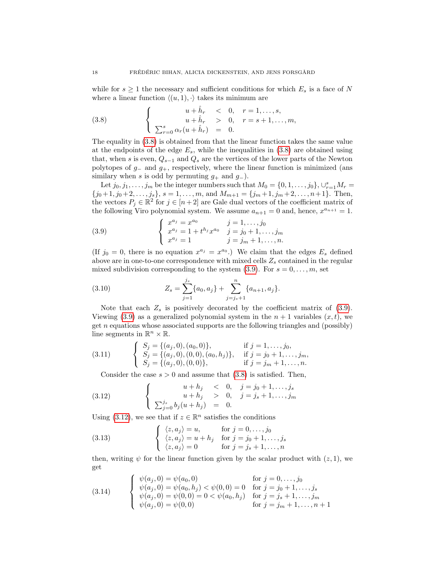while for  $s \geq 1$  the necessary and sufficient conditions for which  $E_s$  is a face of N where a linear function  $\langle (u, 1), \cdot \rangle$  takes its minimum are

<span id="page-17-0"></span>(3.8) 
$$
\begin{cases}\nu + \hat{h}_r < 0, \quad r = 1, \dots, s, \\
u + \hat{h}_r > 0, \quad r = s + 1, \dots, m, \\
\sum_{r=0}^s \alpha_r (u + \hat{h}_r) = 0.\n\end{cases}
$$

The equality in [\(3.8\)](#page-17-0) is obtained from that the linear function takes the same value at the endpoints of the edge  $E_s$ , while the inequalities in  $(3.8)$  are obtained using that, when s is even,  $Q_{s-1}$  and  $Q_s$  are the vertices of the lower parts of the Newton polytopes of  $g_-\$  and  $g_+$ , respectively, where the linear function is minimized (ans similary when s is odd by permuting  $g_+$  and  $g_-$ ).

Let  $j_0, j_1, \ldots, j_m$  be the integer numbers such that  $M_0 = \{0, 1, \ldots, j_0\}, \bigcup_{r=1}^s M_r =$  $\{j_0+1, j_0+2, \ldots, j_s\}, s = 1, \ldots, m, \text{ and } M_{m+1} = \{j_m+1, j_m+2, \ldots, n+1\}.$  Then, the vectors  $P_j \in \mathbb{R}^2$  for  $j \in [n+2]$  are Gale dual vectors of the coefficient matrix of the following Viro polynomial system. We assume  $a_{n+1} = 0$  and, hence,  $x^{a_{n+1}} = 1$ .

<span id="page-17-1"></span>(3.9) 
$$
\begin{cases} x^{a_j} = x^{a_0} & j = 1, ..., j_0 \\ x^{a_j} = 1 + t^{h_j} x^{a_0} & j = j_0 + 1, ..., j_m \\ x^{a_j} = 1 & j = j_m + 1, ..., n. \end{cases}
$$

(If  $j_0 = 0$ , there is no equation  $x^{a_j} = x^{a_0}$ .) We claim that the edges  $E_s$  defined above are in one-to-one correspondence with mixed cells  $Z_s$  contained in the regular mixed subdivision corresponding to the system  $(3.9)$ . For  $s = 0, \ldots, m$ , set

(3.10) 
$$
Z_s = \sum_{j=1}^{j_s} \{a_0, a_j\} + \sum_{j=j_s+1}^{n} \{a_{n+1}, a_j\}.
$$

Note that each  $Z_s$  is positively decorated by the coefficient matrix of [\(3.9\)](#page-17-1). Viewing [\(3.9\)](#page-17-1) as a generalized polynomial system in the  $n + 1$  variables  $(x, t)$ , we get  $n$  equations whose associated supports are the following triangles and (possibly) line segments in  $\mathbb{R}^n \times \mathbb{R}$ .

(3.11) 
$$
\begin{cases} S_j = \{(a_j, 0), (a_0, 0)\}, & \text{if } j = 1, ..., j_0, \\ S_j = \{(a_j, 0), (0, 0), (a_0, h_j)\}, & \text{if } j = j_0 + 1, ..., j_m, \\ S_j = \{(a_j, 0), (0, 0)\}, & \text{if } j = j_m + 1, ..., n. \end{cases}
$$

<span id="page-17-2"></span>Consider the case  $s > 0$  and assume that  $(3.8)$  is satisfied. Then,

(3.12) 
$$
\begin{cases}\n u + h_j < 0, \quad j = j_0 + 1, \dots, j_s \\
 u + h_j > 0, \quad j = j_s + 1, \dots, j_m \\
 \sum_{j=0}^{j_s} b_j (u + h_j) = 0.\n\end{cases}
$$

Using [\(3.12\)](#page-17-2), we see that if  $z \in \mathbb{R}^n$  satisfies the conditions

<span id="page-17-3"></span>(3.13) 
$$
\begin{cases} \langle z, a_j \rangle = u, & \text{for } j = 0, \dots, j_0 \\ \langle z, a_j \rangle = u + h_j & \text{for } j = j_0 + 1, \dots, j_s \\ \langle z, a_j \rangle = 0 & \text{for } j = j_s + 1, \dots, n \end{cases}
$$

then, writing  $\psi$  for the linear function given by the scalar product with  $(z, 1)$ , we get

(3.14) 
$$
\begin{cases} \psi(a_j, 0) = \psi(a_0, 0) & \text{for } j = 0, ..., j_0 \\ \psi(a_j, 0) = \psi(a_0, h_j) < \psi(0, 0) = 0 \\ \psi(a_j, 0) = \psi(0, 0) = 0 < \psi(a_0, h_j) \\ \psi(a_j, 0) = \psi(0, 0) & \text{for } j = j_s + 1, ..., j_m \\ \psi(a_j, 0) = \psi(0, 0) & \text{for } j = j_m + 1, ..., n + 1 \end{cases}
$$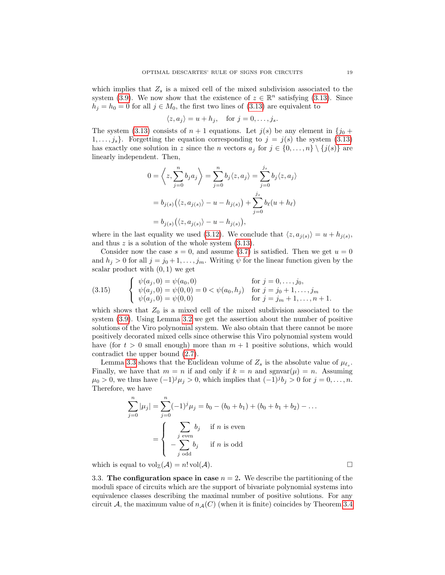which implies that  $Z_s$  is a mixed cell of the mixed subdivision associated to the system [\(3.9\)](#page-17-1). We now show that the existence of  $z \in \mathbb{R}^n$  satisfying [\(3.13\)](#page-17-3). Since  $h_j = h_0 = 0$  for all  $j \in M_0$ , the first two lines of [\(3.13\)](#page-17-3) are equivalent to

$$
\langle z, a_j \rangle = u + h_j, \quad \text{for } j = 0, \dots, j_s.
$$

The system [\(3.13\)](#page-17-3) consists of  $n + 1$  equations. Let  $j(s)$  be any element in  $\{j_0 +$  $1, \ldots, j_s$ . Forgetting the equation corresponding to  $j = j(s)$  the system [\(3.13\)](#page-17-3) has exactly one solution in z since the n vectors  $a_j$  for  $j \in \{0, ..., n\} \setminus \{j(s)\}\$ are linearly independent. Then,

$$
0 = \left\langle z, \sum_{j=0}^{n} b_j a_j \right\rangle = \sum_{j=0}^{n} b_j \langle z, a_j \rangle = \sum_{j=0}^{j_s} b_j \langle z, a_j \rangle
$$
  
=  $b_{j(s)} (\langle z, a_{j(s)} \rangle - u - h_{j(s)}) + \sum_{j=0}^{j_s} b_{\ell}(u + h_{\ell})$   
=  $b_{j(s)} (\langle z, a_{j(s)} \rangle - u - h_{j(s)}),$ 

where in the last equality we used [\(3.12\)](#page-17-2). We conclude that  $\langle z, a_{j(s)} \rangle = u + h_{j(s)},$ and thus  $z$  is a solution of the whole system  $(3.13)$ .

Consider now the case  $s = 0$ , and assume [\(3.7\)](#page-16-1) is satisfied. Then we get  $u = 0$ and  $h_j > 0$  for all  $j = j_0 + 1, \ldots, j_m$ . Writing  $\psi$  for the linear function given by the scalar product with  $(0, 1)$  we get

(3.15) 
$$
\begin{cases} \psi(a_j, 0) = \psi(a_0, 0) & \text{for } j = 0, \dots, j_0, \\ \psi(a_j, 0) = \psi(0, 0) = 0 < \psi(a_0, h_j) & \text{for } j = j_0 + 1, \dots, j_m \\ \psi(a_j, 0) = \psi(0, 0) & \text{for } j = j_m + 1, \dots, n + 1. \end{cases}
$$

which shows that  $Z_0$  is a mixed cell of the mixed subdivision associated to the system [\(3.9\)](#page-17-1). Using Lemma [3.2](#page-13-1) we get the assertion about the number of positive solutions of the Viro polynomial system. We also obtain that there cannot be more positively decorated mixed cells since otherwise this Viro polynomial system would have (for  $t > 0$  small enough) more than  $m + 1$  positive solutions, which would contradict the upper bound [\(2.7\)](#page-6-4).

Lemma [3.3](#page-13-2) shows that the Euclidean volume of  $Z_s$  is the absolute value of  $\mu_{\ell_s}$ . Finally, we have that  $m = n$  if and only if  $k = n$  and  $\text{sgnvar}(\mu) = n$ . Assuming  $\mu_0 > 0$ , we thus have  $(-1)^j \mu_j > 0$ , which implies that  $(-1)^j b_j > 0$  for  $j = 0, \ldots, n$ . Therefore, we have

$$
\sum_{j=0}^{n} |\mu_j| = \sum_{j=0}^{n} (-1)^j \mu_j = b_0 - (b_0 + b_1) + (b_0 + b_1 + b_2) - \dots
$$

$$
= \begin{cases} \sum_{j \text{ even}} b_j & \text{if } n \text{ is even} \\ -\sum_{j \text{ odd}} b_j & \text{if } n \text{ is odd} \end{cases}
$$

which is equal to  $vol_{\mathbb{Z}}(\mathcal{A}) = n! \text{ vol}(\mathcal{A}).$ 

3.3. The configuration space in case  $n = 2$ . We describe the partitioning of the moduli space of circuits which are the support of bivariate polynomial systems into equivalence classes describing the maximal number of positive solutions. For any circuit A, the maximum value of  $n_A(C)$  (when it is finite) coincides by Theorem [3.4](#page-14-0)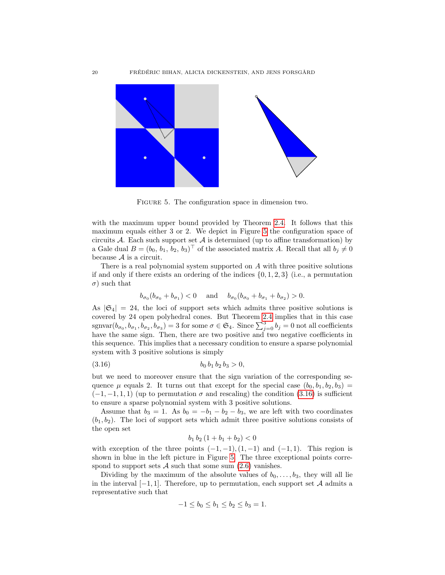

<span id="page-19-0"></span>Figure 5. The configuration space in dimension two.

with the maximum upper bound provided by Theorem [2.4.](#page-6-0) It follows that this maximum equals either 3 or 2. We depict in Figure [5](#page-19-0) the configuration space of circuits  $A$ . Each such support set  $A$  is determined (up to affine transformation) by a Gale dual  $B = (b_0, b_1, b_2, b_3)^\top$  of the associated matrix A. Recall that all  $b_j \neq 0$ because  $A$  is a circuit.

There is a real polynomial system supported on A with three positive solutions if and only if there exists an ordering of the indices  $\{0, 1, 2, 3\}$  (i.e., a permutation  $\sigma$ ) such that

$$
b_{\sigma_0}(b_{\sigma_0} + b_{\sigma_1}) < 0
$$
 and  $b_{\sigma_0}(b_{\sigma_0} + b_{\sigma_1} + b_{\sigma_2}) > 0$ .

As  $|\mathfrak{S}_4| = 24$ , the loci of support sets which admits three positive solutions is covered by 24 open polyhedral cones. But Theorem [2.4](#page-6-0) implies that in this case sgnvar $(b_{\sigma_0}, b_{\sigma_1}, b_{\sigma_2}, b_{\sigma_3}) = 3$  for some  $\sigma \in \mathfrak{S}_4$ . Since  $\sum_{j=0}^3 b_j = 0$  not all coefficients have the same sign. Then, there are two positive and two negative coefficients in this sequence. This implies that a necessary condition to ensure a sparse polynomial system with 3 positive solutions is simply

$$
(3.16) \t\t b_0 b_1 b_2 b_3 > 0,
$$

but we need to moreover ensure that the sign variation of the corresponding sequence  $\mu$  equals 2. It turns out that except for the special case  $(b_0, b_1, b_2, b_3)$  =  $(-1, -1, 1, 1)$  (up to permutation  $\sigma$  and rescaling) the condition [\(3.16\)](#page-19-1) is sufficient to ensure a sparse polynomial system with 3 positive solutions.

Assume that  $b_3 = 1$ . As  $b_0 = -b_1 - b_2 - b_3$ , we are left with two coordinates  $(b_1, b_2)$ . The loci of support sets which admit three positive solutions consists of the open set

<span id="page-19-1"></span>
$$
b_1 b_2 (1 + b_1 + b_2) < 0
$$

with exception of the three points  $(-1, -1), (1, -1)$  and  $(-1, 1)$ . This region is shown in blue in the left picture in Figure [5.](#page-19-0) The three exceptional points correspond to support sets  $A$  such that some sum  $(2.6)$  vanishes.

Dividing by the maximum of the absolute values of  $b_0, \ldots, b_3$ , they will all lie in the interval  $[-1, 1]$ . Therefore, up to permutation, each support set A admits a representative such that

$$
-1 \le b_0 \le b_1 \le b_2 \le b_3 = 1.
$$